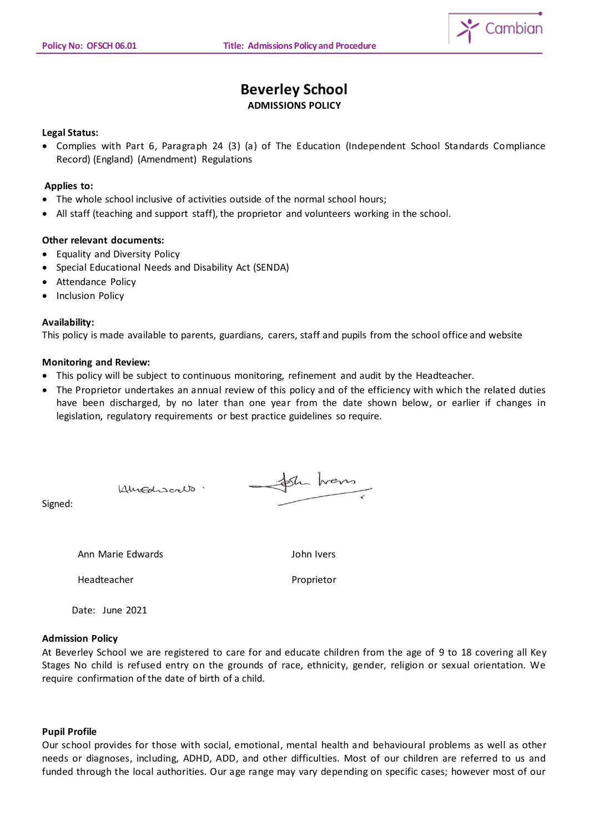$$
\sum_{i=1}^{n} \text{Cambian}
$$

# **Beverley School**

# **ADMISSIONS POLICY**

## **Legal Status:**

 Complies with Part 6, Paragraph 24 (3) (a) of The Education (Independent School Standards Compliance Record) (England) (Amendment) Regulations

## **Applies to:**

- The whole school inclusive of activities outside of the normal school hours;
- All staff (teaching and support staff), the proprietor and volunteers working in the school.

#### **Other relevant documents:**

- Equality and Diversity Policy
- Special Educational Needs and Disability Act (SENDA)

Kingdiscalo.

- Attendance Policy
- Inclusion Policy

# **Availability:**

This policy is made available to parents, guardians, carers, staff and pupils from the school office and website

#### **Monitoring and Review:**

- This policy will be subject to continuous monitoring, refinement and audit by the Headteacher.
- The Proprietor undertakes an annual review of this policy and of the efficiency with which the related duties have been discharged, by no later than one year from the date shown below, or earlier if changes in legislation, regulatory requirements or best practice guidelines so require.

Signed:

Ann Marie Edwards John Ivers

Headteacher **Proprietor** Proprietor

Sh hans

Date: June 2021

#### **Admission Policy**

At Beverley School we are registered to care for and educate children from the age of 9 to 18 covering all Key Stages No child is refused entry on the grounds of race, ethnicity, gender, religion or sexual orientation. We require confirmation of the date of birth of a child.

#### **Pupil Profile**

Our school provides for those with social, emotional, mental health and behavioural problems as well as other needs or diagnoses, including, ADHD, ADD, and other difficulties. Most of our children are referred to us and funded through the local authorities. Our age range may vary depending on specific cases; however most of our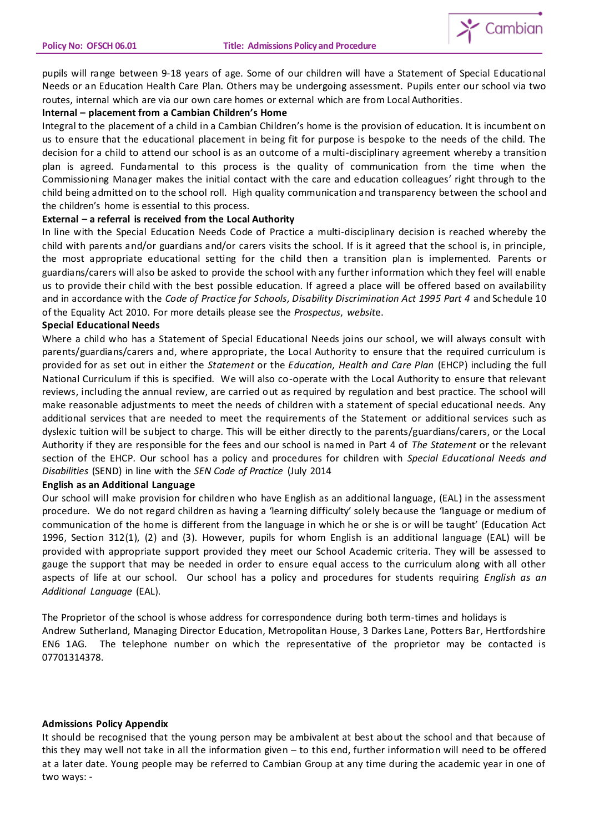

pupils will range between 9-18 years of age. Some of our children will have a Statement of Special Educational Needs or an Education Health Care Plan. Others may be undergoing assessment. Pupils enter our school via two routes, internal which are via our own care homes or external which are from Local Authorities.

#### **Internal – placement from a Cambian Children's Home**

Integral to the placement of a child in a Cambian Children's home is the provision of education. It is incumbent on us to ensure that the educational placement in being fit for purpose is bespoke to the needs of the child. The decision for a child to attend our school is as an outcome of a multi-disciplinary agreement whereby a transition plan is agreed. Fundamental to this process is the quality of communication from the time when the Commissioning Manager makes the initial contact with the care and education colleagues' right through to the child being admitted on to the school roll. High quality communication and transparency between the school and the children's home is essential to this process.

#### **External – a referral is received from the Local Authority**

In line with the Special Education Needs Code of Practice a multi-disciplinary decision is reached whereby the child with parents and/or guardians and/or carers visits the school. If is it agreed that the school is, in principle, the most appropriate educational setting for the child then a transition plan is implemented. Parents or guardians/carers will also be asked to provide the school with any further information which they feel will enable us to provide their child with the best possible education. If agreed a place will be offered based on availability and in accordance with the *Code of Practice for Schools, Disability Discrimination Act 1995 Part 4* and Schedule 10 of the Equality Act 2010. For more details please see the *Prospectus*, *websit*e.

#### **Special Educational Needs**

Where a child who has a Statement of Special Educational Needs joins our school, we will always consult with parents/guardians/carers and, where appropriate, the Local Authority to ensure that the required curriculum is provided for as set out in either the *Statement* or the *Education, Health and Care Plan* (EHCP) including the full National Curriculum if this is specified. We will also co-operate with the Local Authority to ensure that relevant reviews, including the annual review, are carried out as required by regulation and best practice. The school will make reasonable adjustments to meet the needs of children with a statement of special educational needs. Any additional services that are needed to meet the requirements of the Statement or additional services such as dyslexic tuition will be subject to charge. This will be either directly to the parents/guardians/carers, or the Local Authority if they are responsible for the fees and our school is named in Part 4 of *The Statement* or the relevant section of the EHCP. Our school has a policy and procedures for children with *Special Educational Needs and Disabilities* (SEND) in line with the *SEN Code of Practice* (July 2014

#### **English as an Additional Language**

Our school will make provision for children who have English as an additional language, (EAL) in the assessment procedure. We do not regard children as having a 'learning difficulty' solely because the 'language or medium of communication of the home is different from the language in which he or she is or will be taught' (Education Act 1996, Section 312(1), (2) and (3). However, pupils for whom English is an additional language (EAL) will be provided with appropriate support provided they meet our School Academic criteria. They will be assessed to gauge the support that may be needed in order to ensure equal access to the curriculum along with all other aspects of life at our school. Our school has a policy and procedures for students requiring *English as an Additional Language* (EAL).

The Proprietor of the school is whose address for correspondence during both term-times and holidays is Andrew Sutherland, Managing Director Education, Metropolitan House, 3 Darkes Lane, Potters Bar, Hertfordshire EN6 1AG. The telephone number on which the representative of the proprietor may be contacted is 07701314378.

#### **Admissions Policy Appendix**

It should be recognised that the young person may be ambivalent at best about the school and that because of this they may well not take in all the information given – to this end, further information will need to be offered at a later date. Young people may be referred to Cambian Group at any time during the academic year in one of two ways: -